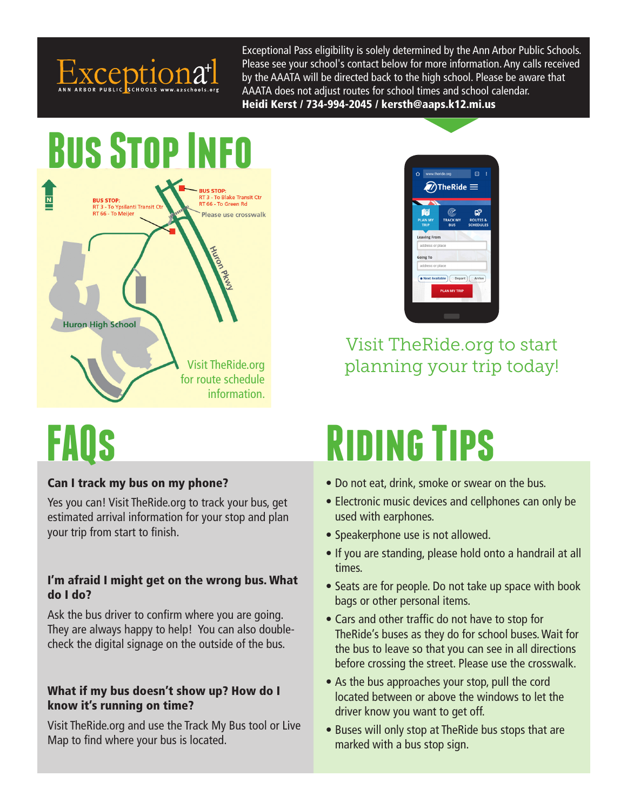

Exceptional Pass eligibility is solely determined by the Ann Arbor Public Schools. Please see your school's contact below for more information. Any calls received by the AAATA will be directed back to the high school. Please be aware that AAATA does not adjust routes for school times and school calendar. Heidi Kerst / 734-994-2045 / kersth@aaps.k12.mi.us

## **Bus Stop Info RUS STOP:**  $\overline{\mathbf{N}}$ RT 3 - To Blake Transit Ctr<br>RT 66 - To Green Rd **BUS STOP: BUS STOP:**<br>RT 3 - To Ypsilanti Transit Ct<br>RT 66 - To Meijer Please use crosswalk **Huron High School** Visit TheRide.org for route schedule information.

# **FAQs**

### Can I track my bus on my phone?

Yes you can! Visit TheRide.org to track your bus, get estimated arrival information for your stop and plan your trip from start to finish.

#### I'm afraid I might get on the wrong bus. What do I do?

Ask the bus driver to confirm where you are going. They are always happy to help! You can also doublecheck the digital signage on the outside of the bus.

#### What if my bus doesn't show up? How do I know it's running on time?

Visit TheRide.org and use the Track My Bus tool or Live Map to find where your bus is located.



Visit TheRide.org to start planning your trip today!

# **Riding Tips**

- Do not eat, drink, smoke or swear on the bus.
- Electronic music devices and cellphones can only be used with earphones.
- Speakerphone use is not allowed.
- If you are standing, please hold onto a handrail at all times.
- Seats are for people. Do not take up space with book bags or other personal items.
- Cars and other traffic do not have to stop for TheRide's buses as they do for school buses. Wait for the bus to leave so that you can see in all directions before crossing the street. Please use the crosswalk.
- As the bus approaches your stop, pull the cord located between or above the windows to let the driver know you want to get off.
- Buses will only stop at TheRide bus stops that are marked with a bus stop sign.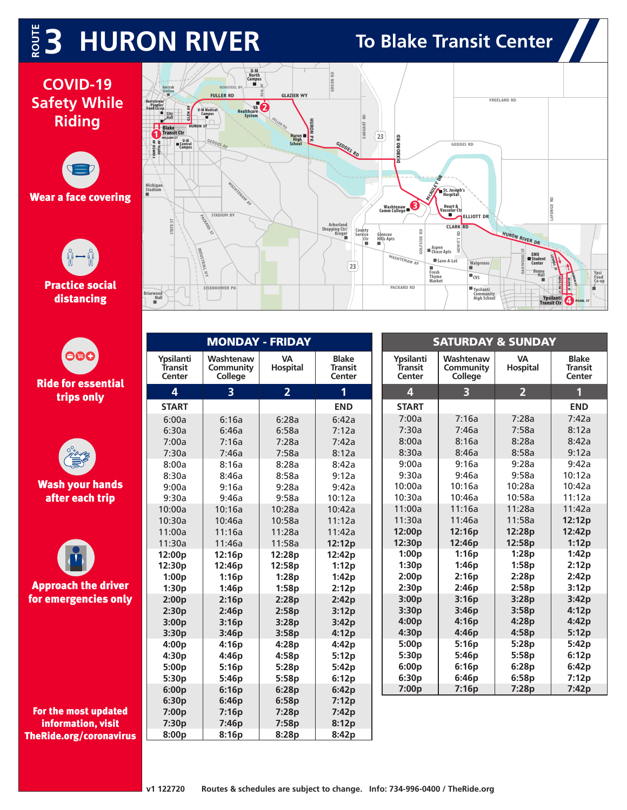## $\frac{1}{2}$  **3 HURON RIVER** To Blake Transit Center

### **COVID-19 Safety While Riding**











For the most updated information, visit TheRide.org/coronavirus



| <b>MONDAY - FRIDAY</b>         |                                   |                       |                                          |  | <b>SATURDAY &amp; SUNDAY</b>          |                                   |                       |                                          |  |
|--------------------------------|-----------------------------------|-----------------------|------------------------------------------|--|---------------------------------------|-----------------------------------|-----------------------|------------------------------------------|--|
| Ypsilanti<br>Transit<br>Center | Washtenaw<br>Community<br>College | <b>VA</b><br>Hospital | <b>Blake</b><br><b>Transit</b><br>Center |  | <b>Ypsilanti</b><br>Transit<br>Center | Washtenaw<br>Community<br>College | <b>VA</b><br>Hospital | <b>Blake</b><br><b>Transit</b><br>Center |  |
| 4                              | $\overline{3}$                    | 2 <sup>1</sup>        | 1                                        |  | $\overline{\mathbf{4}}$               | $\overline{3}$                    | 2 <sup>1</sup>        | $\mathbf 1$                              |  |
| <b>START</b>                   |                                   |                       | <b>END</b>                               |  | <b>START</b>                          |                                   |                       | <b>END</b>                               |  |
| 6:00a                          | 6:16a                             | 6:28a                 | 6:42a                                    |  | 7:00a                                 | 7:16a                             | 7:28a                 | 7:42a                                    |  |
| 6:30a                          | 6:46a                             | 6:58a                 | 7:12a                                    |  | 7:30a                                 | 7:46a                             | 7:58a                 | 8:12a                                    |  |
| 7:00a                          | 7:16a                             | 7:28a                 | 7:42a                                    |  | 8:00a                                 | 8:16a                             | 8:28a                 | 8:42a                                    |  |
| 7:30a                          | 7:46a                             | 7:58a                 | 8:12a                                    |  | 8:30a                                 | 8:46a                             | 8:58a                 | 9:12a                                    |  |
| 8:00a                          | 8:16a                             | 8:28a                 | 8:42a                                    |  | 9:00a                                 | 9:16a                             | 9:28a                 | 9:42a                                    |  |
| 8:30a                          | 8:46a                             | 8:58a                 | 9:12a                                    |  | 9:30a                                 | 9:46a                             | 9:58a                 | 10:12a                                   |  |
| 9:00a                          | 9:16a                             | 9:28a                 | 9:42a                                    |  | 10:00a                                | 10:16a                            | 10:28a                | 10:42a                                   |  |
| 9:30a                          | 9:46a                             | 9:58a                 | 10:12a                                   |  | 10:30a                                | 10:46a                            | 10:58a                | 11:12a                                   |  |
| 10:00a                         | 10:16a                            | 10:28a                | 10:42a                                   |  | 11:00a                                | 11:16a                            | 11:28a                | 11:42a                                   |  |
| 10:30a                         | 10:46a                            | 10:58a                | 11:12a                                   |  | 11:30a                                | 11:46a                            | 11:58a                | 12:12p                                   |  |
| 11:00a                         | 11:16a                            | 11:28a                | 11:42a                                   |  | 12:00p                                | 12:16p                            | 12:28p                | 12:42p                                   |  |
| 11:30a                         | 11:46a                            | 11:58a                | 12:12p                                   |  | 12:30p                                | 12:46p                            | 12:58p                | 1:12p                                    |  |
| 12:00p                         | 12:16p                            | 12:28p                | 12:42p                                   |  | 1:00p                                 | 1:16p                             | 1:28p                 | 1:42p                                    |  |
| 12:30p                         | 12:46 <sub>p</sub>                | 12:58 <sub>p</sub>    | 1:12p                                    |  | 1:30p                                 | 1:46p                             | 1:58p                 | 2:12p                                    |  |
| 1:00p                          | 1:16p                             | 1:28p                 | 1:42p                                    |  | 2:00p                                 | 2:16p                             | 2:28p                 | 2:42p                                    |  |
| 1:30p                          | 1:46p                             | 1:58p                 | 2:12p                                    |  | 2:30p                                 | 2:46p                             | 2:58p                 | 3:12p                                    |  |
| 2:00p                          | 2:16p                             | 2:28p                 | 2:42p                                    |  | 3:00p                                 | 3:16p                             | 3:28p                 | 3:42p                                    |  |
| 2:30p                          | 2:46p                             | 2:58p                 | 3:12p                                    |  | 3:30p                                 | 3:46p                             | 3:58p                 | 4:12p                                    |  |
| 3:00p                          | 3:16p                             | 3:28p                 | 3:42p                                    |  | 4:00p                                 | 4:16p                             | 4:28p                 | 4:42p                                    |  |
| 3:30p                          | 3:46p                             | 3:58p                 | 4:12p                                    |  | 4:30p                                 | 4:46p                             | 4:58p                 | 5:12p                                    |  |
| 4:00 <sub>p</sub>              | 4:16p                             | 4:28p                 | 4:42p                                    |  | 5:00p                                 | 5:16p                             | 5:28p                 | 5:42p                                    |  |
| 4:30p                          | 4:46p                             | 4:58p                 | 5:12p                                    |  | 5:30p                                 | 5:46p                             | 5:58p                 | 6:12p                                    |  |
| 5:00p                          | 5:16p                             | 5:28p                 | 5:42p                                    |  | 6:00p                                 | 6:16p                             | 6:28p                 | 6:42p                                    |  |
| 5:30p                          | 5:46p                             | 5:58p                 | 6:12p                                    |  | 6:30p                                 | 6:46p                             | 6:58p                 | 7:12p                                    |  |
| 6:00p                          | 6:16p                             | 6:28p                 | 6:42p                                    |  | 7:00p                                 | 7:16p                             | 7:28p                 | 7:42p                                    |  |
| 6:30p                          | 6:46p                             | 6:58p                 | 7:12p                                    |  |                                       |                                   |                       |                                          |  |
| 7:00p                          | 7:16p                             | 7:28p                 | 7:42p                                    |  |                                       |                                   |                       |                                          |  |

 **7:30p 7:46p 7:58p 8:12p** 8:00p | 8:16p | 8:28p | 8:42p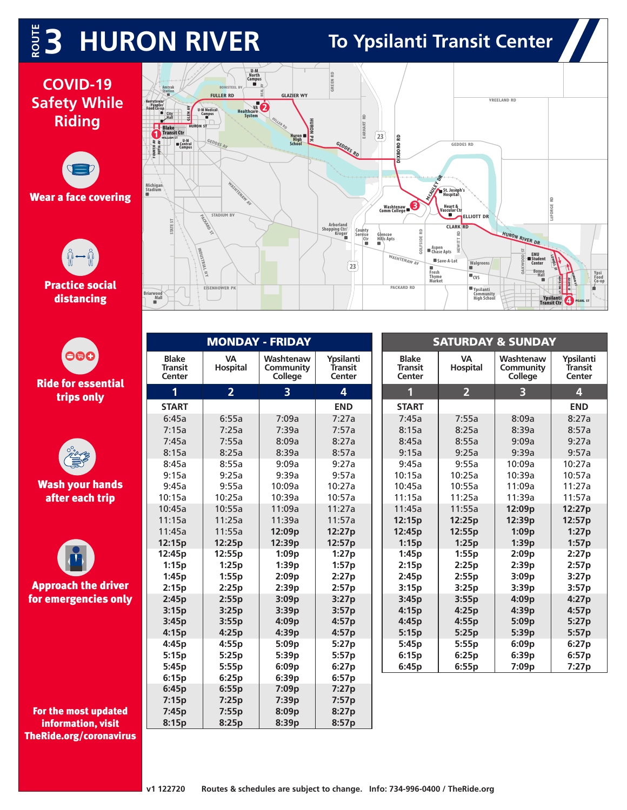## $\frac{1}{2}$  **3 HURON RIVER** To Ypsilanti Transit Center

**Ypsi Food Co-op**

### **COVID-19 Safety While Riding**





|                                  |                                          | <b>MONDAY - FRIDAY</b> |                                   |                                |  | <b>SATURDAY &amp; SUNDAY</b>             |                              |                                   |                                |
|----------------------------------|------------------------------------------|------------------------|-----------------------------------|--------------------------------|--|------------------------------------------|------------------------------|-----------------------------------|--------------------------------|
| O®G<br><b>Ride for essential</b> | <b>Blake</b><br><b>Transit</b><br>Center | <b>VA</b><br>Hospital  | Washtenaw<br>Community<br>College | Ypsilanti<br>Transit<br>Center |  | <b>Blake</b><br><b>Transit</b><br>Center | <b>VA</b><br><b>Hospital</b> | Washtenaw<br>Community<br>College | Ypsilanti<br>Transit<br>Center |
| trips only                       | 1                                        | 2 <sup>1</sup>         | $\overline{3}$                    | 4                              |  | 1                                        | 2 <sup>1</sup>               | $\overline{\mathbf{3}}$           | 4                              |
|                                  | <b>START</b>                             |                        |                                   | <b>END</b>                     |  | <b>START</b>                             |                              |                                   | <b>END</b>                     |
|                                  | 6:45a                                    | 6:55a                  | 7:09a                             | 7:27a                          |  | 7:45a                                    | 7:55a                        | 8:09a                             | 8:27a                          |
|                                  | 7:15a                                    | 7:25a                  | 7:39a                             | 7:57a                          |  | 8:15a                                    | 8:25a                        | 8:39a                             | 8:57a                          |
|                                  | 7:45a                                    | 7:55a                  | 8:09a                             | 8:27a                          |  | 8:45a                                    | 8:55a                        | 9:09a                             | 9:27a                          |
|                                  | 8:15a                                    | 8:25a                  | 8:39a                             | 8:57a                          |  | 9:15a                                    | 9:25a                        | 9:39a                             | 9:57a                          |
|                                  | 8:45a                                    | 8:55a                  | 9:09a                             | 9:27a                          |  | 9:45a                                    | 9:55a                        | 10:09a                            | 10:27a                         |
|                                  | 9:15a                                    | 9:25a                  | 9:39a                             | 9:57a                          |  | 10:15a                                   | 10:25a                       | 10:39a                            | 10:57a                         |
| <b>Wash your hands</b>           | 9:45a                                    | 9:55a                  | 10:09a                            | 10:27a                         |  | 10:45a                                   | 10:55a                       | 11:09a                            | 11:27a                         |
| after each trip                  | 10:15a                                   | 10:25a                 | 10:39a                            | 10:57a                         |  | 11:15a                                   | 11:25a                       | 11:39a                            | 11:57a                         |
|                                  | 10:45a                                   | 10:55a                 | 11:09a                            | 11:27a                         |  | 11:45a                                   | 11:55a                       | 12:09p                            | 12:27p                         |
|                                  | 11:15a                                   | 11:25a                 | 11:39a                            | 11:57a                         |  | 12:15p                                   | 12:25p                       | 12:39p                            | 12:57p                         |
|                                  | 11:45a                                   | 11:55a                 | 12:09p                            | 12:27p                         |  | 12:45p                                   | 12:55p                       | 1:09p                             | 1:27p                          |
|                                  | 12:15p                                   | 12:25p                 | 12:39p                            | 12:57p                         |  | 1:15p                                    | 1:25p                        | 1:39p                             | 1:57p                          |
|                                  | 12:45p                                   | 12:55p                 | 1:09p                             | 1:27p                          |  | 1:45p                                    | 1:55p                        | 2:09p                             | 2:27p                          |
|                                  | 1:15p                                    | 1:25p                  | 1:39p                             | 1:57p                          |  | 2:15p                                    | 2:25p                        | 2:39p                             | 2:57p                          |
|                                  | 1:45p                                    | 1:55p                  | 2:09p                             | 2:27p                          |  | 2:45p                                    | 2:55p                        | 3:09p                             | 3:27p                          |
| <b>Approach the driver</b>       | 2:15p                                    | 2:25p                  | 2:39p                             | 2:57p                          |  | 3:15p                                    | 3:25p                        | 3:39p                             | 3:57p                          |
| or emergencies only              | 2:45p                                    | 2:55p                  | 3:09p                             | 3:27p                          |  | 3:45p                                    | 3:55p                        | 4:09p                             | 4:27p                          |
|                                  | 3:15p                                    | 3:25p                  | 3:39p                             | 3:57p                          |  | 4:15p                                    | 4:25p                        | 4:39p                             | 4:57p                          |
|                                  | 3:45p                                    | 3:55p                  | 4:09p                             | 4:57p                          |  | 4:45p                                    | 4:55p                        | 5:09p                             | 5:27p                          |
|                                  | 4:15p                                    | 4:25p                  | 4:39p                             | 4:57p                          |  | 5:15p                                    | 5:25p                        | 5:39p                             | 5:57p                          |
|                                  | 4:45p                                    | 4:55p                  | 5:09p                             | 5:27p                          |  | 5:45p                                    | 5:55p                        | 6:09p                             | 6:27p                          |
|                                  | 5:15p                                    | 5:25p                  | 5:39p                             | 5:57p                          |  | 6:15p                                    | 6:25p                        | 6:39p                             | 6:57p                          |
|                                  | 5:45p                                    | 5:55p                  | 6:09p                             | 6:27p                          |  | 6:45p                                    | 6:55p                        | 7:09p                             | 7:27p                          |
|                                  | 6:15p                                    | 6:25p                  | 6:39p                             | 6:57p                          |  |                                          |                              |                                   |                                |
|                                  | 6:45p                                    | 6:55p                  | 7:09p                             | 7:27p                          |  |                                          |                              |                                   |                                |
|                                  | 7:15p                                    | 7:25p                  | 7:39p                             | 7:57p                          |  |                                          |                              |                                   |                                |
| For the most updated             | 7:45p                                    | 7:55p                  | 8:09p                             | 8:27p                          |  |                                          |                              |                                   |                                |
| information, visit               | 8:15p                                    | 8:25p                  | 8:39p                             | 8:57p                          |  |                                          |                              |                                   |                                |

For the most updated information, visit TheRide.org/coronavirus

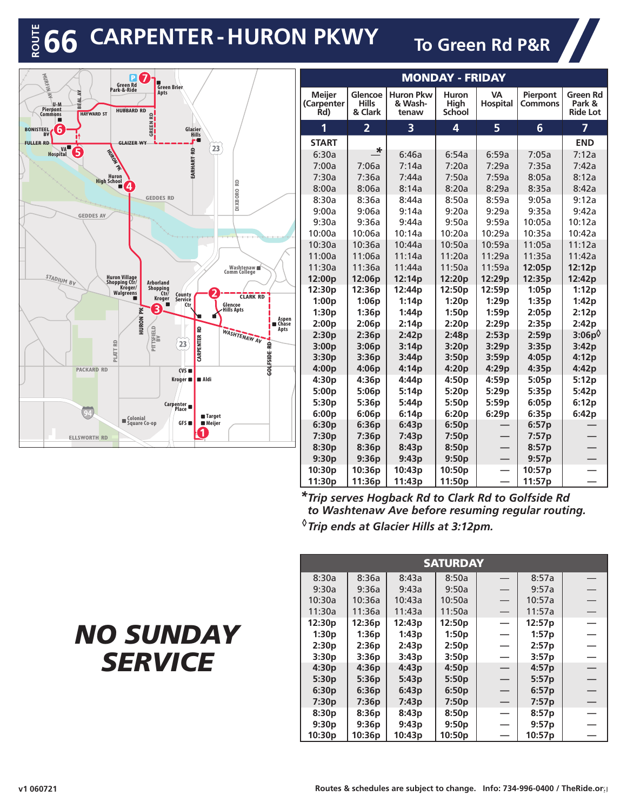## $R_{\odot}$  **CARPENTER - HURON PKWY** To Green Rd P&R



| <b>MONDAY - FRIDAY</b>             |                                    |                                      |                                |                              |                            |                                              |  |  |  |
|------------------------------------|------------------------------------|--------------------------------------|--------------------------------|------------------------------|----------------------------|----------------------------------------------|--|--|--|
| <b>Meijer</b><br>(Carpenter<br>Rd) | Glencoe<br><b>Hills</b><br>& Clark | <b>Huron Pkw</b><br>& Wash-<br>tenaw | Huron<br>High<br><b>School</b> | <b>VA</b><br><b>Hospital</b> | Pierpont<br><b>Commons</b> | <b>Green Rd</b><br>Park &<br><b>Ride Lot</b> |  |  |  |
| 1                                  | $\overline{2}$                     | 3                                    | 4                              | 5                            | $6\phantom{1}6$            | $\overline{7}$                               |  |  |  |
| <b>START</b>                       |                                    |                                      |                                |                              |                            | <b>END</b>                                   |  |  |  |
| 6:30a                              | *                                  | 6:46a                                | 6:54a                          | 6:59a                        | 7:05a                      | 7:12a                                        |  |  |  |
| 7:00a                              | 7:06a                              | 7:14a                                | 7:20a                          | 7:29a                        | 7:35a                      | 7:42a                                        |  |  |  |
| 7:30a                              | 7:36a                              | 7:44a                                | 7:50a                          | 7:59a                        | 8:05a                      | 8:12a                                        |  |  |  |
| 8:00a                              | 8:06a                              | 8:14a                                | 8:20a                          | 8:29a                        | 8:35a                      | 8:42a                                        |  |  |  |
| 8:30a                              | 8:36a                              | 8:44a                                | 8:50a                          | 8:59a                        | 9:05a                      | 9:12a                                        |  |  |  |
| 9:00a                              | 9:06a                              | 9:14a                                | 9:20a                          | 9:29a                        | 9:35a                      | 9:42a                                        |  |  |  |
| 9:30a                              | 9:36a                              | 9:44a                                | 9:50a                          | 9:59a                        | 10:05a                     | 10:12a                                       |  |  |  |
| 10:00a                             | 10:06a                             | 10:14a                               | 10:20a                         | 10:29a                       | 10:35a                     | 10:42a                                       |  |  |  |
| 10:30a                             | 10:36a                             | 10:44a                               | 10:50a                         | 10:59a                       | 11:05a                     | 11:12a                                       |  |  |  |
| 11:00a                             | 11:06a                             | 11:14a                               | 11:20a                         | 11:29a                       | 11:35a                     | 11:42a                                       |  |  |  |
| 11:30a                             | 11:36a                             | 11:44a                               | 11:50a                         | 11:59a                       | 12:05 <sub>p</sub>         | 12:12p                                       |  |  |  |
| 12:00p                             | 12:06p                             | 12:14p                               | 12:20p                         | 12:29p                       | 12:35p                     | 12:42p                                       |  |  |  |
| 12:30p                             | 12:36p                             | 12:44p                               | 12:50p                         | 12:59p                       | 1:05p                      | 1:12p                                        |  |  |  |
| 1:00p                              | 1:06p                              | 1:14p                                | 1:20p                          | 1:29p                        | 1:35p                      | 1:42p                                        |  |  |  |
| 1:30p                              | 1:36p                              | 1:44p                                | 1:50p                          | 1:59p                        | 2:05p                      | 2:12p                                        |  |  |  |
| 2:00p                              | 2:06p                              | 2:14p                                | 2:20p                          | 2:29p                        | 2:35p                      | 2:42p                                        |  |  |  |
| 2:30p                              | 2:36p                              | 2:42p                                | 2:48p                          | 2:53p                        | 2:59p                      | $3:06p^0$                                    |  |  |  |
| 3:00p                              | 3:06p                              | 3:14p                                | 3:20p                          | 3:29p                        | 3:35p                      | 3:42p                                        |  |  |  |
| 3:30p                              | 3:36p                              | 3:44p                                | 3:50p                          | 3:59p                        | 4:05p                      | 4:12p                                        |  |  |  |
| 4:00p                              | 4:06p                              | 4:14p                                | 4:20p                          | 4:29p                        | 4:35p                      | 4:42p                                        |  |  |  |
| 4:30p                              | 4:36p                              | 4:44p                                | 4:50p                          | 4:59p                        | 5:05p                      | 5:12p                                        |  |  |  |
| 5:00p                              | 5:06p                              | 5:14p                                | 5:20p                          | 5:29p                        | 5:35p                      | 5:42p                                        |  |  |  |
| 5:30 <sub>p</sub>                  | 5:36p                              | 5:44 <sub>p</sub>                    | 5:50p                          | 5:59p                        | 6:05p                      | 6:12p                                        |  |  |  |
| 6:00p                              | 6:06p                              | 6:14p                                | 6:20p                          | 6:29p                        | 6:35p                      | 6:42p                                        |  |  |  |
| 6:30p                              | 6:36p                              | 6:43p                                | 6:50p                          |                              | 6:57p                      |                                              |  |  |  |
| 7:30p                              | 7:36p                              | 7:43p                                | 7:50p                          |                              | 7:57p                      |                                              |  |  |  |
| 8:30p                              | 8:36p                              | 8:43p                                | 8:50p                          |                              | 8:57p                      |                                              |  |  |  |
| 9:30p                              | 9:36p                              | 9:43p                                | 9:50p                          |                              | 9:57p                      |                                              |  |  |  |
| 10:30p                             | 10:36p                             | 10:43p                               | 10:50p                         |                              | 10:57p                     |                                              |  |  |  |
| 11:30p                             | 11:36p                             | 11:43p                               | 11:50p                         |                              | 11:57p                     |                                              |  |  |  |

*Trip serves Hogback Rd to Clark Rd to Golfside Rd \* to Washtenaw Ave before resuming regular routing. Trip ends at Glacier Hills at 3:12pm. ◊*

| <b>SATURDAY</b> |        |        |        |                          |        |  |  |  |  |
|-----------------|--------|--------|--------|--------------------------|--------|--|--|--|--|
| 8:30a           | 8:36a  | 8:43a  | 8:50a  |                          | 8:57a  |  |  |  |  |
| 9:30a           | 9:36a  | 9:43a  | 9:50a  |                          | 9:57a  |  |  |  |  |
| 10:30a          | 10:36a | 10:43a | 10:50a |                          | 10:57a |  |  |  |  |
| 11:30a          | 11:36a | 11:43a | 11:50a | $\overline{\phantom{0}}$ | 11:57a |  |  |  |  |
| 12:30p          | 12:36p | 12:43p | 12:50p | $\overline{\phantom{0}}$ | 12:57p |  |  |  |  |
| 1:30p           | 1:36p  | 1:43p  | 1:50p  | ÷.                       | 1:57p  |  |  |  |  |
| 2:30p           | 2:36p  | 2:43p  | 2:50p  | -                        | 2:57p  |  |  |  |  |
| 3:30p           | 3:36p  | 3:43p  | 3:50p  | $\overline{\phantom{0}}$ | 3:57p  |  |  |  |  |
| 4:30p           | 4:36p  | 4:43p  | 4:50p  | $\overline{\phantom{0}}$ | 4:57p  |  |  |  |  |
| 5:30p           | 5:36p  | 5:43p  | 5:50p  |                          | 5:57p  |  |  |  |  |
| 6:30p           | 6:36p  | 6:43p  | 6:50p  |                          | 6:57p  |  |  |  |  |
| 7:30p           | 7:36p  | 7:43p  | 7:50p  | —<br>—                   | 7:57p  |  |  |  |  |
| 8:30p           | 8:36p  | 8:43p  | 8:50p  | $\equiv$                 | 8:57p  |  |  |  |  |
| 9:30p           | 9:36p  | 9:43p  | 9:50p  | <u>.</u>                 | 9:57p  |  |  |  |  |
| 10:30p          | 10:36p | 10:43p | 10:50p |                          | 10:57p |  |  |  |  |

## *NO SUNDAY SERVICE*